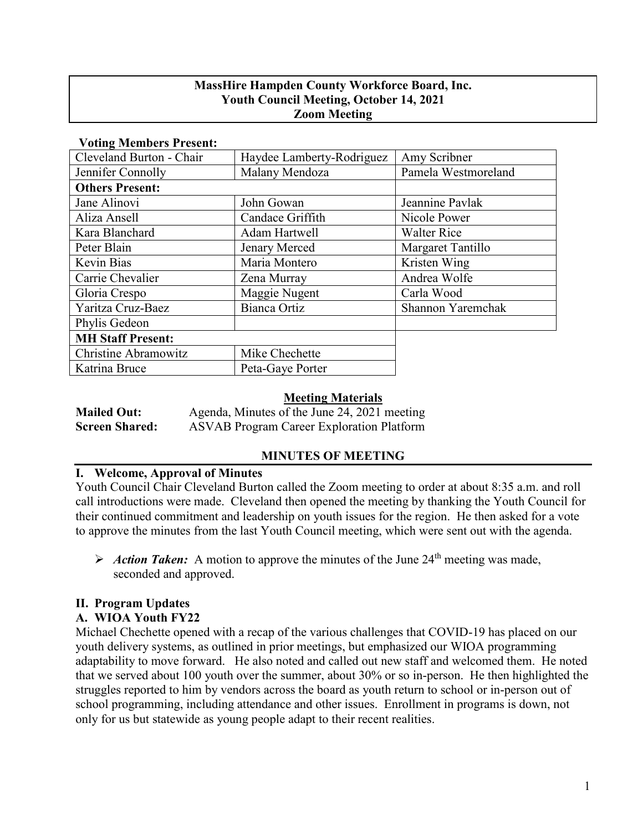### **MassHire Hampden County Workforce Board, Inc. Youth Council Meeting, October 14, 2021 Zoom Meeting**

| vount members in escat.  |                           |                     |
|--------------------------|---------------------------|---------------------|
| Cleveland Burton - Chair | Haydee Lamberty-Rodriguez | Amy Scribner        |
| Jennifer Connolly        | Malany Mendoza            | Pamela Westmoreland |
| <b>Others Present:</b>   |                           |                     |
| Jane Alinovi             | John Gowan                | Jeannine Pavlak     |
| Aliza Ansell             | Candace Griffith          | Nicole Power        |
| Kara Blanchard           | <b>Adam Hartwell</b>      | <b>Walter Rice</b>  |
| Peter Blain              | Jenary Merced             | Margaret Tantillo   |
| Kevin Bias               | Maria Montero             | Kristen Wing        |
| Carrie Chevalier         | Zena Murray               | Andrea Wolfe        |
| Gloria Crespo            | Maggie Nugent             | Carla Wood          |
| Yaritza Cruz-Baez        | Bianca Ortiz              | Shannon Yaremchak   |
| Phylis Gedeon            |                           |                     |
| <b>MH Staff Present:</b> |                           |                     |
| Christine Abramowitz     | Mike Chechette            |                     |
| Katrina Bruce            | Peta-Gaye Porter          |                     |

#### **Voting Members Present:**

#### **Meeting Materials**

| <b>Mailed Out:</b>    | Agenda, Minutes of the June 24, 2021 meeting     |
|-----------------------|--------------------------------------------------|
| <b>Screen Shared:</b> | <b>ASVAB</b> Program Career Exploration Platform |

#### **MINUTES OF MEETING**

#### **I. Welcome, Approval of Minutes**

Youth Council Chair Cleveland Burton called the Zoom meeting to order at about 8:35 a.m. and roll call introductions were made. Cleveland then opened the meeting by thanking the Youth Council for their continued commitment and leadership on youth issues for the region. He then asked for a vote to approve the minutes from the last Youth Council meeting, which were sent out with the agenda.

Action Taken: A motion to approve the minutes of the June  $24<sup>th</sup>$  meeting was made. seconded and approved.

# **II. Program Updates**

# **A. WIOA Youth FY22**

Michael Chechette opened with a recap of the various challenges that COVID-19 has placed on our youth delivery systems, as outlined in prior meetings, but emphasized our WIOA programming adaptability to move forward. He also noted and called out new staff and welcomed them. He noted that we served about 100 youth over the summer, about 30% or so in-person. He then highlighted the struggles reported to him by vendors across the board as youth return to school or in-person out of school programming, including attendance and other issues. Enrollment in programs is down, not only for us but statewide as young people adapt to their recent realities.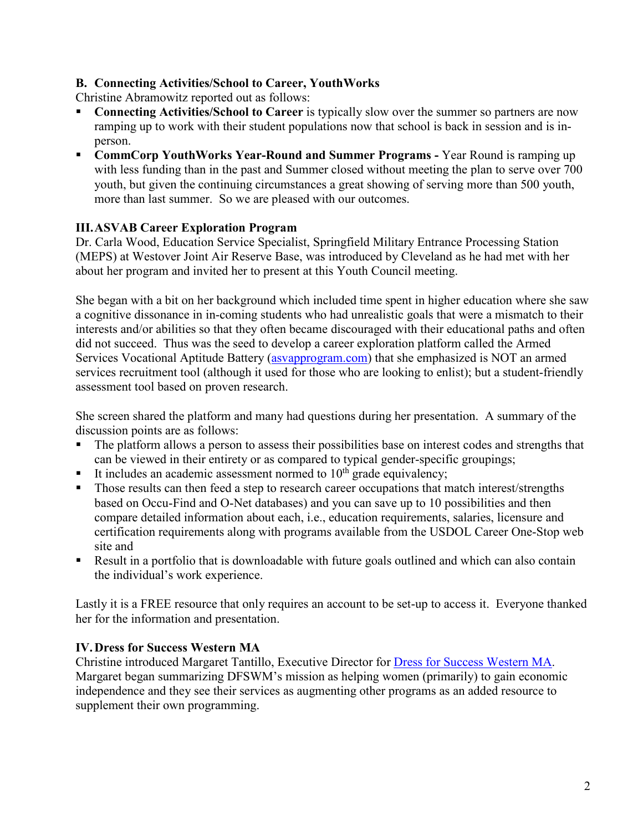# **B. Connecting Activities/School to Career, YouthWorks**

Christine Abramowitz reported out as follows:

- **Connecting Activities/School to Career** is typically slow over the summer so partners are now ramping up to work with their student populations now that school is back in session and is inperson.
- **CommCorp YouthWorks Year-Round and Summer Programs -** Year Round is ramping up with less funding than in the past and Summer closed without meeting the plan to serve over 700 youth, but given the continuing circumstances a great showing of serving more than 500 youth, more than last summer. So we are pleased with our outcomes.

# **III.ASVAB Career Exploration Program**

Dr. Carla Wood, Education Service Specialist, Springfield Military Entrance Processing Station (MEPS) at Westover Joint Air Reserve Base, was introduced by Cleveland as he had met with her about her program and invited her to present at this Youth Council meeting.

She began with a bit on her background which included time spent in higher education where she saw a cognitive dissonance in in-coming students who had unrealistic goals that were a mismatch to their interests and/or abilities so that they often became discouraged with their educational paths and often did not succeed. Thus was the seed to develop a career exploration platform called the Armed Services Vocational Aptitude Battery [\(asvapprogram.com\)](https://www.asvabprogram.com/) that she emphasized is NOT an armed services recruitment tool (although it used for those who are looking to enlist); but a student-friendly assessment tool based on proven research.

She screen shared the platform and many had questions during her presentation. A summary of the discussion points are as follows:

- The platform allows a person to assess their possibilities base on interest codes and strengths that can be viewed in their entirety or as compared to typical gender-specific groupings;
- It includes an academic assessment normed to  $10<sup>th</sup>$  grade equivalency;
- Those results can then feed a step to research career occupations that match interest/strengths based on Occu-Find and O-Net databases) and you can save up to 10 possibilities and then compare detailed information about each, i.e., education requirements, salaries, licensure and certification requirements along with programs available from the USDOL Career One-Stop web site and
- Result in a portfolio that is downloadable with future goals outlined and which can also contain the individual's work experience.

Lastly it is a FREE resource that only requires an account to be set-up to access it. Everyone thanked her for the information and presentation.

# **IV.Dress for Success Western MA**

Christine introduced Margaret Tantillo, Executive Director for [Dress for Success Western MA.](https://westernmass.dressforsuccess.org/) Margaret began summarizing DFSWM's mission as helping women (primarily) to gain economic independence and they see their services as augmenting other programs as an added resource to supplement their own programming.